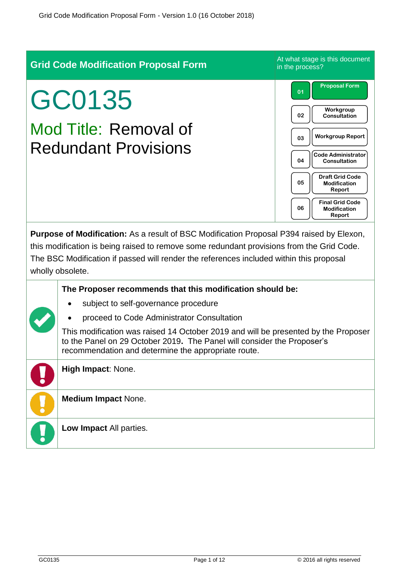| <b>Grid Code Modification Proposal Form</b>                                                                                                                                                                                                                                                          | At what stage is this document<br>in the process?             |  |  |
|------------------------------------------------------------------------------------------------------------------------------------------------------------------------------------------------------------------------------------------------------------------------------------------------------|---------------------------------------------------------------|--|--|
| GC0135                                                                                                                                                                                                                                                                                               | <b>Proposal Form</b><br>01                                    |  |  |
|                                                                                                                                                                                                                                                                                                      | Workgroup<br>02<br>Consultation                               |  |  |
| Mod Title: Removal of<br><b>Redundant Provisions</b>                                                                                                                                                                                                                                                 | <b>Workgroup Report</b><br>03                                 |  |  |
|                                                                                                                                                                                                                                                                                                      | <b>Code Administrator</b><br>04<br>Consultation               |  |  |
|                                                                                                                                                                                                                                                                                                      | <b>Draft Grid Code</b><br>05<br><b>Modification</b><br>Report |  |  |
|                                                                                                                                                                                                                                                                                                      | <b>Final Grid Code</b><br>06<br><b>Modification</b><br>Report |  |  |
| Purpose of Modification: As a result of BSC Modification Proposal P394 raised by Elexon,<br>this modification is being raised to remove some redundant provisions from the Grid Code.<br>The BSC Modification if passed will render the references included within this proposal<br>wholly obsolete. |                                                               |  |  |
| The Proposer recommends that this modification should be:                                                                                                                                                                                                                                            |                                                               |  |  |
| subject to self-governance procedure                                                                                                                                                                                                                                                                 |                                                               |  |  |
| proceed to Code Administrator Consultation<br>This modification was raised 14 October 2019 and will be presented by the Proposer<br>to the Panel on 29 October 2019. The Panel will consider the Proposer's<br>recommendation and determine the appropriate route.                                   |                                                               |  |  |
| High Impact: None.                                                                                                                                                                                                                                                                                   |                                                               |  |  |
| <b>Medium Impact None.</b>                                                                                                                                                                                                                                                                           |                                                               |  |  |
| Low Impact All parties.                                                                                                                                                                                                                                                                              |                                                               |  |  |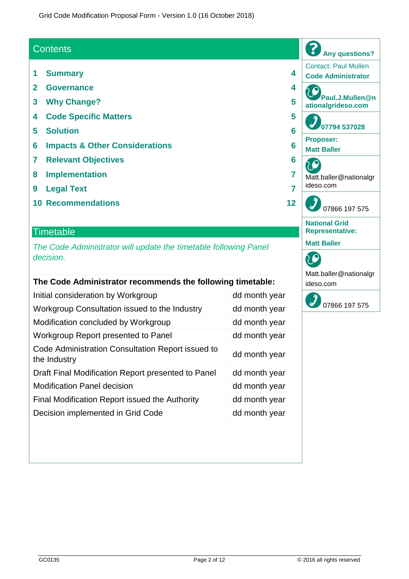### **Contents**

- **1 Summary 4**
- **2 Governance 4**
- **3 Why Change? 5**
- **4 Code Specific Matters 5**
- **5 Solution 6**
- **6 Impacts & Other Considerations 6**
- **7 Relevant Objectives 6**
- **8 Implementation 7**
- **9 Legal Text 7**
- **10 Recommendations 12**

#### **Timetable**

*The Code Administrator will update the timetable following Panel decision.*

| The Code Administrator recommends the following timetable:        |               |  |
|-------------------------------------------------------------------|---------------|--|
| Initial consideration by Workgroup                                | dd month year |  |
| Workgroup Consultation issued to the Industry                     | dd month year |  |
| Modification concluded by Workgroup                               | dd month year |  |
| Workgroup Report presented to Panel                               | dd month year |  |
| Code Administration Consultation Report issued to<br>the Industry | dd month year |  |
| Draft Final Modification Report presented to Panel                | dd month year |  |
| <b>Modification Panel decision</b>                                | dd month year |  |
| Final Modification Report issued the Authority                    | dd month year |  |
| Decision implemented in Grid Code                                 | dd month year |  |
|                                                                   |               |  |



Matt.baller@nationalgr

**Any questions?** Contact: Paul Mullen **Code Administrator**

**Paul.J.Mullen@n ationalgrideso.com**

**07794 537028**

Matt.baller@nationalgr

07866 197 575

**Proposer: Matt Baller**

C

ideso.com

20

**National Grid Representative:**

**Matt Baller**

20

ideso.com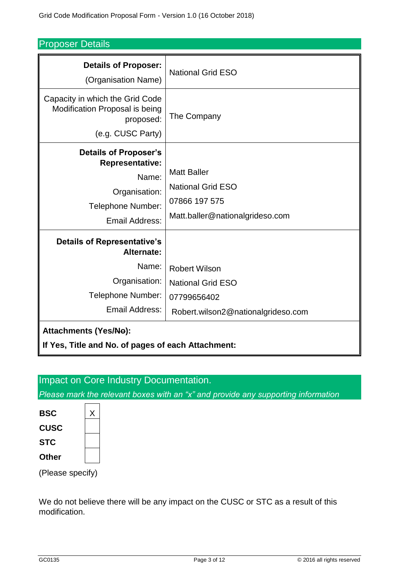Proposer Details

| <b>Details of Proposer:</b><br>(Organisation Name)                                                                      | <b>National Grid ESO</b>                                                                              |
|-------------------------------------------------------------------------------------------------------------------------|-------------------------------------------------------------------------------------------------------|
| Capacity in which the Grid Code<br>Modification Proposal is being<br>proposed:<br>(e.g. CUSC Party)                     | The Company                                                                                           |
| <b>Details of Proposer's</b><br><b>Representative:</b><br>Name:<br>Organisation:<br>Telephone Number:<br>Email Address: | <b>Matt Baller</b><br><b>National Grid ESO</b><br>07866 197 575<br>Matt.baller@nationalgrideso.com    |
| <b>Details of Representative's</b><br>Alternate:<br>Name:<br>Organisation:<br>Telephone Number:<br>Email Address:       | <b>Robert Wilson</b><br><b>National Grid ESO</b><br>07799656402<br>Robert.wilson2@nationalgrideso.com |
| <b>Attachments (Yes/No):</b><br>If Yes, Title and No. of pages of each Attachment:                                      |                                                                                                       |

# Impact on Core Industry Documentation.

*Please mark the relevant boxes with an "x" and provide any supporting information*

| <b>BSC</b>  |  |
|-------------|--|
| <b>CUSC</b> |  |
| <b>STC</b>  |  |
| Other       |  |

(Please specify)

We do not believe there will be any impact on the CUSC or STC as a result of this modification.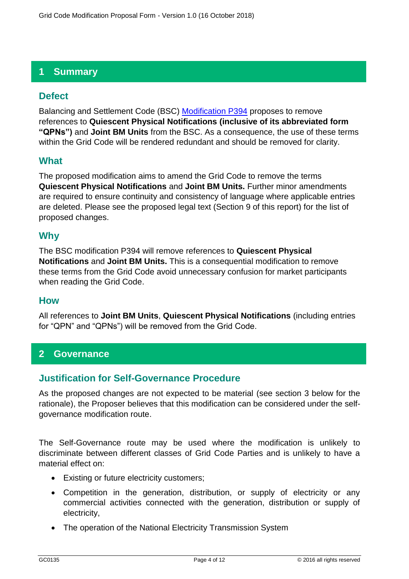# **1 Summary**

# **Defect**

Balancing and Settlement Code (BSC) [Modification P394](https://www.elexon.co.uk/mod-proposal/p394-removal-of-unused-bsc-provisions/) proposes to remove references to **Quiescent Physical Notifications (inclusive of its abbreviated form "QPNs")** and **Joint BM Units** from the BSC. As a consequence, the use of these terms within the Grid Code will be rendered redundant and should be removed for clarity.

### **What**

The proposed modification aims to amend the Grid Code to remove the terms **Quiescent Physical Notifications** and **Joint BM Units.** Further minor amendments are required to ensure continuity and consistency of language where applicable entries are deleted. Please see the proposed legal text (Section 9 of this report) for the list of proposed changes.

### **Why**

The BSC modification P394 will remove references to **Quiescent Physical Notifications** and **Joint BM Units.** This is a consequential modification to remove these terms from the Grid Code avoid unnecessary confusion for market participants when reading the Grid Code.

### **How**

All references to **Joint BM Units**, **Quiescent Physical Notifications** (including entries for "QPN" and "QPNs") will be removed from the Grid Code.

# **2 Governance**

# **Justification for Self-Governance Procedure**

As the proposed changes are not expected to be material (see section 3 below for the rationale), the Proposer believes that this modification can be considered under the selfgovernance modification route.

The Self-Governance route may be used where the modification is unlikely to discriminate between different classes of Grid Code Parties and is unlikely to have a material effect on:

- Existing or future electricity customers;
- Competition in the generation, distribution, or supply of electricity or any commercial activities connected with the generation, distribution or supply of electricity,
- The operation of the National Electricity Transmission System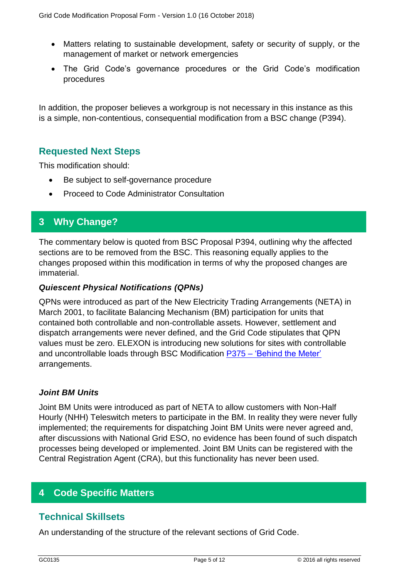- Matters relating to sustainable development, safety or security of supply, or the management of market or network emergencies
- The Grid Code's governance procedures or the Grid Code's modification procedures

In addition, the proposer believes a workgroup is not necessary in this instance as this is a simple, non-contentious, consequential modification from a BSC change (P394).

### **Requested Next Steps**

This modification should:

- Be subject to self-governance procedure
- Proceed to Code Administrator Consultation

### **3 Why Change?**

The commentary below is quoted from BSC Proposal P394, outlining why the affected sections are to be removed from the BSC. This reasoning equally applies to the changes proposed within this modification in terms of why the proposed changes are immaterial.

#### *Quiescent Physical Notifications (QPNs)*

QPNs were introduced as part of the New Electricity Trading Arrangements (NETA) in March 2001, to facilitate Balancing Mechanism (BM) participation for units that contained both controllable and non-controllable assets. However, settlement and dispatch arrangements were never defined, and the Grid Code stipulates that QPN values must be zero. ELEXON is introducing new solutions for sites with controllable and uncontrollable loads through BSC Modification P375 – ['Behind the Meter'](https://www.elexon.co.uk/mod-proposal/p375/) arrangements.

#### *Joint BM Units*

Joint BM Units were introduced as part of NETA to allow customers with Non-Half Hourly (NHH) Teleswitch meters to participate in the BM. In reality they were never fully implemented; the requirements for dispatching Joint BM Units were never agreed and, after discussions with National Grid ESO, no evidence has been found of such dispatch processes being developed or implemented. Joint BM Units can be registered with the Central Registration Agent (CRA), but this functionality has never been used.

# **4 Code Specific Matters**

### **Technical Skillsets**

An understanding of the structure of the relevant sections of Grid Code.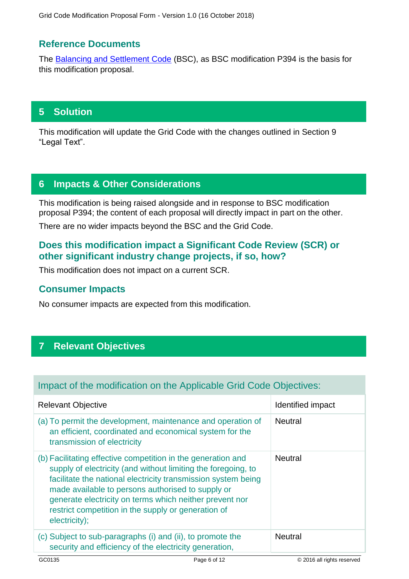# **Reference Documents**

The [Balancing and Settlement Code](https://www.elexon.co.uk/bsc-and-codes/balancing-settlement-code/) (BSC), as BSC modification P394 is the basis for this modification proposal.

# **5 Solution**

This modification will update the Grid Code with the changes outlined in Section 9 "Legal Text".

# **6 Impacts & Other Considerations**

This modification is being raised alongside and in response to BSC modification proposal P394; the content of each proposal will directly impact in part on the other.

There are no wider impacts beyond the BSC and the Grid Code.

# **Does this modification impact a Significant Code Review (SCR) or other significant industry change projects, if so, how?**

This modification does not impact on a current SCR.

### **Consumer Impacts**

No consumer impacts are expected from this modification.

# **7 Relevant Objectives**

# Impact of the modification on the Applicable Grid Code Objectives:

| <b>Relevant Objective</b>                                                                                                                                                                                                                                                                                                                                                              | Identified impact |
|----------------------------------------------------------------------------------------------------------------------------------------------------------------------------------------------------------------------------------------------------------------------------------------------------------------------------------------------------------------------------------------|-------------------|
| (a) To permit the development, maintenance and operation of<br>an efficient, coordinated and economical system for the<br>transmission of electricity                                                                                                                                                                                                                                  | <b>Neutral</b>    |
| (b) Facilitating effective competition in the generation and<br>supply of electricity (and without limiting the foregoing, to<br>facilitate the national electricity transmission system being<br>made available to persons authorised to supply or<br>generate electricity on terms which neither prevent nor<br>restrict competition in the supply or generation of<br>electricity); | <b>Neutral</b>    |
| (c) Subject to sub-paragraphs (i) and (ii), to promote the<br>security and efficiency of the electricity generation,                                                                                                                                                                                                                                                                   | <b>Neutral</b>    |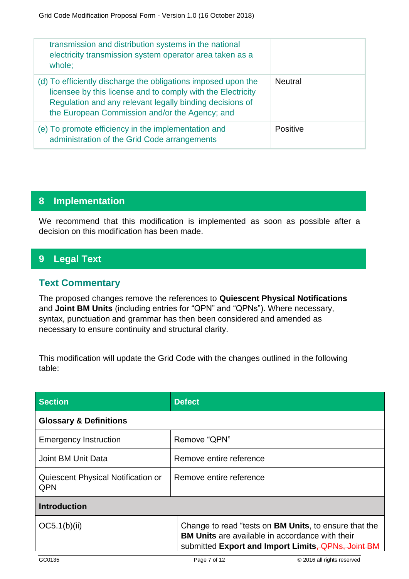| transmission and distribution systems in the national<br>electricity transmission system operator area taken as a<br>whole;                                                                                                                |                 |
|--------------------------------------------------------------------------------------------------------------------------------------------------------------------------------------------------------------------------------------------|-----------------|
| (d) To efficiently discharge the obligations imposed upon the<br>licensee by this license and to comply with the Electricity<br>Regulation and any relevant legally binding decisions of<br>the European Commission and/or the Agency; and | <b>Neutral</b>  |
| (e) To promote efficiency in the implementation and<br>administration of the Grid Code arrangements                                                                                                                                        | <b>Positive</b> |

# **8 Implementation**

We recommend that this modification is implemented as soon as possible after a decision on this modification has been made.

# **9 Legal Text**

# **Text Commentary**

The proposed changes remove the references to **Quiescent Physical Notifications** and **Joint BM Units** (including entries for "QPN" and "QPNs"). Where necessary, syntax, punctuation and grammar has then been considered and amended as necessary to ensure continuity and structural clarity.

This modification will update the Grid Code with the changes outlined in the following table:

| <b>Section</b>                                   | <b>Defect</b>                                                                                                                                                                 |  |
|--------------------------------------------------|-------------------------------------------------------------------------------------------------------------------------------------------------------------------------------|--|
| <b>Glossary &amp; Definitions</b>                |                                                                                                                                                                               |  |
| <b>Emergency Instruction</b>                     | Remove "QPN"                                                                                                                                                                  |  |
| Joint BM Unit Data                               | Remove entire reference                                                                                                                                                       |  |
| Quiescent Physical Notification or<br><b>QPN</b> | Remove entire reference                                                                                                                                                       |  |
| <b>Introduction</b>                              |                                                                                                                                                                               |  |
| OC5.1(b)(ii)                                     | Change to read "tests on <b>BM Units</b> , to ensure that the<br><b>BM Units</b> are available in accordance with their<br>submitted Export and Import Limits, QPNs, Joint BM |  |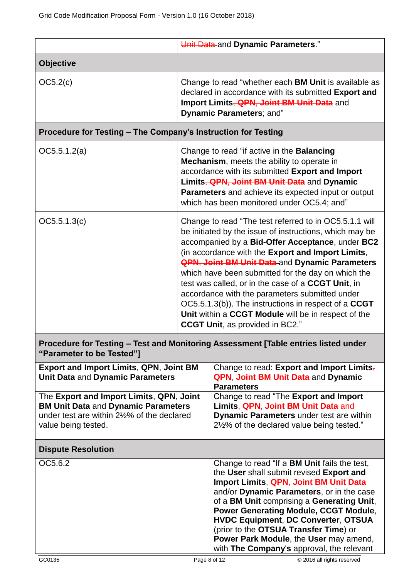|                                                                                                                                                              |                                                                                                                                                                                                                                                                                                                                                                                                                                                                                                                                                                                                                    | Unit Data and Dynamic Parameters."                                                                                                                                                                                                                                                                                                                                                                                                                   |  |
|--------------------------------------------------------------------------------------------------------------------------------------------------------------|--------------------------------------------------------------------------------------------------------------------------------------------------------------------------------------------------------------------------------------------------------------------------------------------------------------------------------------------------------------------------------------------------------------------------------------------------------------------------------------------------------------------------------------------------------------------------------------------------------------------|------------------------------------------------------------------------------------------------------------------------------------------------------------------------------------------------------------------------------------------------------------------------------------------------------------------------------------------------------------------------------------------------------------------------------------------------------|--|
| <b>Objective</b>                                                                                                                                             |                                                                                                                                                                                                                                                                                                                                                                                                                                                                                                                                                                                                                    |                                                                                                                                                                                                                                                                                                                                                                                                                                                      |  |
| OC5.2(c)                                                                                                                                                     |                                                                                                                                                                                                                                                                                                                                                                                                                                                                                                                                                                                                                    | Change to read "whether each <b>BM Unit</b> is available as<br>declared in accordance with its submitted Export and<br>Import Limits, <b>QPN, Joint BM Unit Data</b> and<br>Dynamic Parameters; and"                                                                                                                                                                                                                                                 |  |
|                                                                                                                                                              | Procedure for Testing - The Company's Instruction for Testing                                                                                                                                                                                                                                                                                                                                                                                                                                                                                                                                                      |                                                                                                                                                                                                                                                                                                                                                                                                                                                      |  |
| OC5.5.1.2(a)                                                                                                                                                 | Change to read "if active in the <b>Balancing</b><br>Mechanism, meets the ability to operate in<br>accordance with its submitted Export and Import<br>Limits, QPN, Joint BM Unit Data and Dynamic<br>Parameters and achieve its expected input or output<br>which has been monitored under OC5.4; and"                                                                                                                                                                                                                                                                                                             |                                                                                                                                                                                                                                                                                                                                                                                                                                                      |  |
| OC5.5.1.3(c)                                                                                                                                                 | Change to read "The test referred to in OC5.5.1.1 will<br>be initiated by the issue of instructions, which may be<br>accompanied by a Bid-Offer Acceptance, under BC2<br>(in accordance with the Export and Import Limits,<br><b>QPN, Joint BM Unit Data</b> and Dynamic Parameters<br>which have been submitted for the day on which the<br>test was called, or in the case of a <b>CCGT Unit</b> , in<br>accordance with the parameters submitted under<br>OC5.5.1.3(b)). The instructions in respect of a CCGT<br>Unit within a CCGT Module will be in respect of the<br><b>CCGT Unit, as provided in BC2."</b> |                                                                                                                                                                                                                                                                                                                                                                                                                                                      |  |
| "Parameter to be Tested"]                                                                                                                                    |                                                                                                                                                                                                                                                                                                                                                                                                                                                                                                                                                                                                                    | Procedure for Testing - Test and Monitoring Assessment [Table entries listed under                                                                                                                                                                                                                                                                                                                                                                   |  |
| <b>Export and Import Limits, QPN, Joint BM</b><br>Unit Data and Dynamic Parameters                                                                           |                                                                                                                                                                                                                                                                                                                                                                                                                                                                                                                                                                                                                    | Change to read: Export and Import Limits,<br><b>QPN, Joint BM Unit Data</b> and Dynamic<br><b>Parameters</b>                                                                                                                                                                                                                                                                                                                                         |  |
| The Export and Import Limits, QPN, Joint<br><b>BM Unit Data and Dynamic Parameters</b><br>under test are within 21/2% of the declared<br>value being tested. |                                                                                                                                                                                                                                                                                                                                                                                                                                                                                                                                                                                                                    | Change to read "The Export and Import<br>Limits, QPN, Joint BM Unit Data and<br>Dynamic Parameters under test are within<br>21/2% of the declared value being tested."                                                                                                                                                                                                                                                                               |  |
| <b>Dispute Resolution</b>                                                                                                                                    |                                                                                                                                                                                                                                                                                                                                                                                                                                                                                                                                                                                                                    |                                                                                                                                                                                                                                                                                                                                                                                                                                                      |  |
| OC5.6.2                                                                                                                                                      |                                                                                                                                                                                                                                                                                                                                                                                                                                                                                                                                                                                                                    | Change to read "If a BM Unit fails the test,<br>the User shall submit revised Export and<br>Import Limits, QPN, Joint BM Unit Data<br>and/or Dynamic Parameters, or in the case<br>of a BM Unit comprising a Generating Unit,<br>Power Generating Module, CCGT Module,<br><b>HVDC Equipment, DC Converter, OTSUA</b><br>(prior to the OTSUA Transfer Time) or<br>Power Park Module, the User may amend,<br>with The Company's approval, the relevant |  |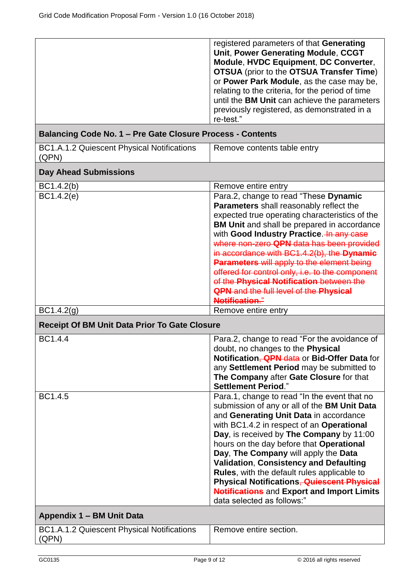|                                                            | registered parameters of that Generating<br>Unit, Power Generating Module, CCGT<br>Module, HVDC Equipment, DC Converter,<br><b>OTSUA</b> (prior to the <b>OTSUA Transfer Time</b> )<br>or Power Park Module, as the case may be,<br>relating to the criteria, for the period of time<br>until the BM Unit can achieve the parameters<br>previously registered, as demonstrated in a<br>re-test."                                                                                                                                                              |  |
|------------------------------------------------------------|---------------------------------------------------------------------------------------------------------------------------------------------------------------------------------------------------------------------------------------------------------------------------------------------------------------------------------------------------------------------------------------------------------------------------------------------------------------------------------------------------------------------------------------------------------------|--|
| Balancing Code No. 1 – Pre Gate Closure Process - Contents |                                                                                                                                                                                                                                                                                                                                                                                                                                                                                                                                                               |  |
| BC1.A.1.2 Quiescent Physical Notifications<br>(QPN)        | Remove contents table entry                                                                                                                                                                                                                                                                                                                                                                                                                                                                                                                                   |  |
| <b>Day Ahead Submissions</b>                               |                                                                                                                                                                                                                                                                                                                                                                                                                                                                                                                                                               |  |
| BC1.4.2(b)                                                 | Remove entire entry                                                                                                                                                                                                                                                                                                                                                                                                                                                                                                                                           |  |
| BC1.4.2(e)                                                 | Para.2, change to read "These Dynamic<br>Parameters shall reasonably reflect the<br>expected true operating characteristics of the<br><b>BM Unit</b> and shall be prepared in accordance<br>with Good Industry Practice. In any case<br>where non-zero QPN data has been provided<br>in accordance with BC1.4.2(b), the Dynamic<br><b>Parameters will apply to the element being</b><br>offered for control only, i.e. to the component<br>of the Physical Notification between the<br><b>QPN</b> and the full level of the Physical<br><b>Notification."</b> |  |
| BC1.4.2 <sub>(g)</sub>                                     | Remove entire entry                                                                                                                                                                                                                                                                                                                                                                                                                                                                                                                                           |  |
| <b>Receipt Of BM Unit Data Prior To Gate Closure</b>       |                                                                                                                                                                                                                                                                                                                                                                                                                                                                                                                                                               |  |
| BC1.4.4                                                    | Para.2, change to read "For the avoidance of<br>doubt, no changes to the Physical<br>Notification, <b>QPN</b> data or Bid-Offer Data for<br>any Settlement Period may be submitted to<br>The Company after Gate Closure for that<br><b>Settlement Period."</b>                                                                                                                                                                                                                                                                                                |  |
| BC1.4.5                                                    | Para.1, change to read "In the event that no<br>submission of any or all of the BM Unit Data<br>and Generating Unit Data in accordance<br>with BC1.4.2 in respect of an Operational<br>Day, is received by The Company by 11:00<br>hours on the day before that Operational<br>Day, The Company will apply the Data<br><b>Validation, Consistency and Defaulting</b><br>Rules, with the default rules applicable to<br>Physical Notifications, Quiescent Physical<br><b>Notifications</b> and Export and Import Limits<br>data selected as follows:"          |  |
| Appendix 1 - BM Unit Data                                  |                                                                                                                                                                                                                                                                                                                                                                                                                                                                                                                                                               |  |
| BC1.A.1.2 Quiescent Physical Notifications<br>(QPN)        | Remove entire section.                                                                                                                                                                                                                                                                                                                                                                                                                                                                                                                                        |  |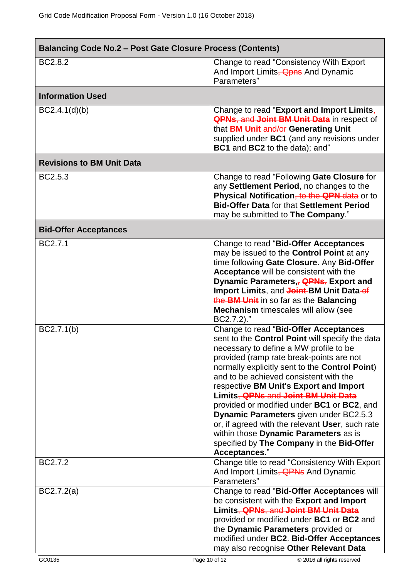| <b>Balancing Code No.2 - Post Gate Closure Process (Contents)</b> |                                                                                                                                                                                                                                                                                                                                                                                                                                                                                                                                                                                                                                     |  |
|-------------------------------------------------------------------|-------------------------------------------------------------------------------------------------------------------------------------------------------------------------------------------------------------------------------------------------------------------------------------------------------------------------------------------------------------------------------------------------------------------------------------------------------------------------------------------------------------------------------------------------------------------------------------------------------------------------------------|--|
| BC2.8.2                                                           | Change to read "Consistency With Export"<br>And Import Limits, <b>Qpns</b> And Dynamic<br>Parameters"                                                                                                                                                                                                                                                                                                                                                                                                                                                                                                                               |  |
| <b>Information Used</b>                                           |                                                                                                                                                                                                                                                                                                                                                                                                                                                                                                                                                                                                                                     |  |
| BC2.4.1(d)(b)                                                     | Change to read "Export and Import Limits,<br><b>QPNs, and Joint BM Unit Data in respect of</b><br>that <b>BM Unit and/or Generating Unit</b><br>supplied under BC1 (and any revisions under<br>BC1 and BC2 to the data); and"                                                                                                                                                                                                                                                                                                                                                                                                       |  |
| <b>Revisions to BM Unit Data</b>                                  |                                                                                                                                                                                                                                                                                                                                                                                                                                                                                                                                                                                                                                     |  |
| BC2.5.3                                                           | Change to read "Following Gate Closure for<br>any Settlement Period, no changes to the<br>Physical Notification, to the QPN data or to<br><b>Bid-Offer Data for that Settlement Period</b><br>may be submitted to The Company."                                                                                                                                                                                                                                                                                                                                                                                                     |  |
| <b>Bid-Offer Acceptances</b>                                      |                                                                                                                                                                                                                                                                                                                                                                                                                                                                                                                                                                                                                                     |  |
| BC2.7.1                                                           | Change to read "Bid-Offer Acceptances<br>may be issued to the <b>Control Point</b> at any<br>time following Gate Closure. Any Bid-Offer<br>Acceptance will be consistent with the<br>Dynamic Parameters, QPNs, Export and<br>Import Limits, and Joint-BM Unit Data-of<br>the BM Unit in so far as the Balancing<br><b>Mechanism</b> timescales will allow (see<br>BC2.7.2)."                                                                                                                                                                                                                                                        |  |
| BC2.7.1(b)                                                        | Change to read "Bid-Offer Acceptances<br>sent to the Control Point will specify the data<br>necessary to define a MW profile to be<br>provided (ramp rate break-points are not<br>normally explicitly sent to the Control Point)<br>and to be achieved consistent with the<br>respective BM Unit's Export and Import<br>Limits, QPNs and Joint BM Unit Data<br>provided or modified under <b>BC1</b> or <b>BC2</b> , and<br><b>Dynamic Parameters given under BC2.5.3</b><br>or, if agreed with the relevant User, such rate<br>within those Dynamic Parameters as is<br>specified by The Company in the Bid-Offer<br>Acceptances." |  |
| BC2.7.2                                                           | Change title to read "Consistency With Export"<br>And Import Limits, <b>QPNs</b> And Dynamic<br>Parameters"                                                                                                                                                                                                                                                                                                                                                                                                                                                                                                                         |  |
| BC2.7.2(a)                                                        | Change to read "Bid-Offer Acceptances will<br>be consistent with the Export and Import<br>Limits, QPNs, and Joint BM Unit Data<br>provided or modified under BC1 or BC2 and<br>the Dynamic Parameters provided or<br>modified under BC2. Bid-Offer Acceptances<br>may also recognise Other Relevant Data                                                                                                                                                                                                                                                                                                                            |  |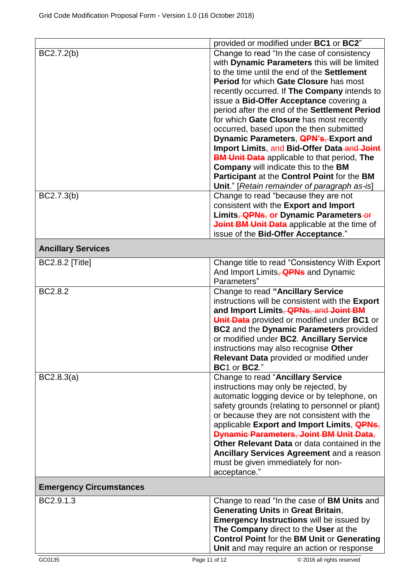|                                | provided or modified under BC1 or BC2"             |
|--------------------------------|----------------------------------------------------|
| BC2.7.2(b)                     | Change to read "In the case of consistency         |
|                                |                                                    |
|                                | with Dynamic Parameters this will be limited       |
|                                | to the time until the end of the Settlement        |
|                                | <b>Period for which Gate Closure has most</b>      |
|                                | recently occurred. If The Company intends to       |
|                                | issue a Bid-Offer Acceptance covering a            |
|                                | period after the end of the Settlement Period      |
|                                | for which Gate Closure has most recently           |
|                                | occurred, based upon the then submitted            |
|                                | Dynamic Parameters, <b>QPN's, Export and</b>       |
|                                | Import Limits, and Bid-Offer Data-and Joint        |
|                                | <b>BM Unit Data</b> applicable to that period, The |
|                                | <b>Company</b> will indicate this to the BM        |
|                                | Participant at the Control Point for the BM        |
|                                |                                                    |
|                                | Unit." [Retain remainder of paragraph as-is]       |
| BC2.7.3(b)                     | Change to read "because they are not               |
|                                | consistent with the Export and Import              |
|                                | Limits, <b>QPNs</b> , or Dynamic Parameters-or     |
|                                | Joint BM Unit Data applicable at the time of       |
|                                | issue of the Bid-Offer Acceptance."                |
|                                |                                                    |
| <b>Ancillary Services</b>      |                                                    |
| <b>BC2.8.2 [Title]</b>         | Change title to read "Consistency With Export      |
|                                | And Import Limits, <b>QPNs</b> and Dynamic         |
|                                | Parameters"                                        |
| BC2.8.2                        | Change to read "Ancillary Service                  |
|                                | instructions will be consistent with the Export    |
|                                | and Import Limits, <b>QPNs</b> , and Joint BM      |
|                                | Unit Data provided or modified under BC1 or        |
|                                |                                                    |
|                                | BC2 and the Dynamic Parameters provided            |
|                                | or modified under BC2. Ancillary Service           |
|                                | instructions may also recognise Other              |
|                                | Relevant Data provided or modified under           |
|                                | BC1 or BC2."                                       |
| BC2.8.3(a)                     | Change to read "Ancillary Service                  |
|                                | instructions may only be rejected, by              |
|                                | automatic logging device or by telephone, on       |
|                                | safety grounds (relating to personnel or plant)    |
|                                | or because they are not consistent with the        |
|                                | applicable Export and Import Limits, QPNs,         |
|                                | <b>Dynamic Parameters, Joint BM Unit Data,</b>     |
|                                | Other Relevant Data or data contained in the       |
|                                | Ancillary Services Agreement and a reason          |
|                                | must be given immediately for non-                 |
|                                | acceptance."                                       |
|                                |                                                    |
| <b>Emergency Circumstances</b> |                                                    |
| BC2.9.1.3                      | Change to read "In the case of BM Units and        |
|                                | <b>Generating Units in Great Britain,</b>          |
|                                | <b>Emergency Instructions will be issued by</b>    |
|                                | The Company direct to the User at the              |
|                                | <b>Control Point for the BM Unit or Generating</b> |
|                                | Unit and may require an action or response         |
|                                |                                                    |